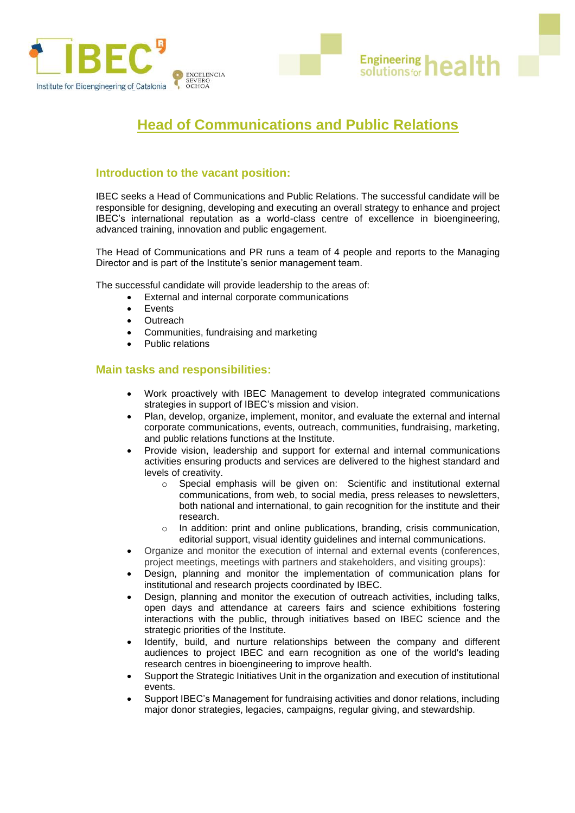

# **Head of Communications and Public Relations**

**Engineering health** 

## **Introduction to the vacant position:**

IBEC seeks a Head of Communications and Public Relations. The successful candidate will be responsible for designing, developing and executing an overall strategy to enhance and project IBEC's international reputation as a world-class centre of excellence in bioengineering, advanced training, innovation and public engagement.

The Head of Communications and PR runs a team of 4 people and reports to the Managing Director and is part of the Institute's senior management team.

The successful candidate will provide leadership to the areas of:

- External and internal corporate communications
- **Events**
- **Outreach**
- Communities, fundraising and marketing
- Public relations

## **Main tasks and responsibilities:**

- Work proactively with IBEC Management to develop integrated communications strategies in support of IBEC's mission and vision.
- Plan, develop, organize, implement, monitor, and evaluate the external and internal corporate communications, events, outreach, communities, fundraising, marketing, and public relations functions at the Institute.
- Provide vision, leadership and support for external and internal communications activities ensuring products and services are delivered to the highest standard and levels of creativity.
	- o Special emphasis will be given on: Scientific and institutional external communications, from web, to social media, press releases to newsletters, both national and international, to gain recognition for the institute and their research.
	- $\circ$  In addition: print and online publications, branding, crisis communication, editorial support, visual identity guidelines and internal communications.
- Organize and monitor the execution of internal and external events (conferences, project meetings, meetings with partners and stakeholders, and visiting groups):
- Design, planning and monitor the implementation of communication plans for institutional and research projects coordinated by IBEC.
- Design, planning and monitor the execution of outreach activities, including talks, open days and attendance at careers fairs and science exhibitions fostering interactions with the public, through initiatives based on IBEC science and the strategic priorities of the Institute.
- Identify, build, and nurture relationships between the company and different audiences to project IBEC and earn recognition as one of the world's leading research centres in bioengineering to improve health.
- Support the Strategic Initiatives Unit in the organization and execution of institutional events.
- Support IBEC's Management for fundraising activities and donor relations, including major donor strategies, legacies, campaigns, regular giving, and stewardship.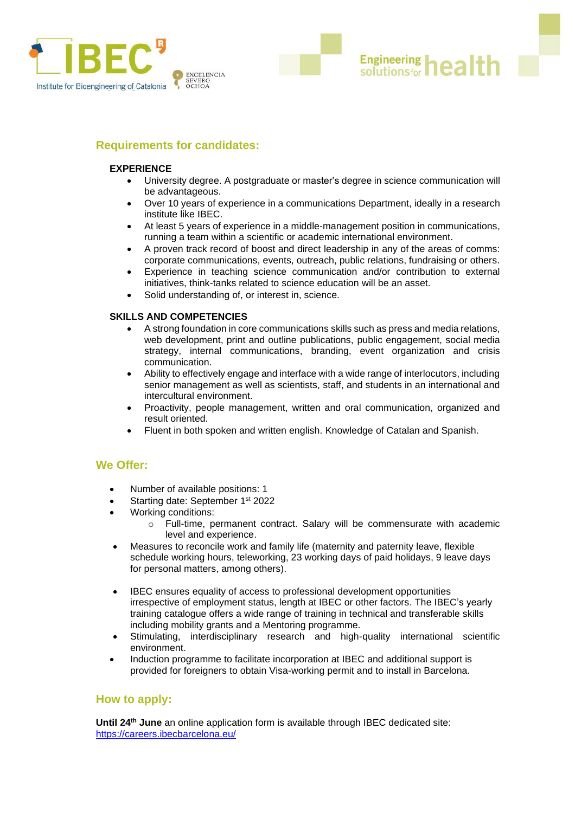

## **Requirements for candidates:**

#### **EXPERIENCE**

• University degree. A postgraduate or master's degree in science communication will be advantageous.

**Engineering health** 

- Over 10 years of experience in a communications Department, ideally in a research institute like IBEC.
- At least 5 years of experience in a middle-management position in communications, running a team within a scientific or academic international environment.
- A proven track record of boost and direct leadership in any of the areas of comms: corporate communications, events, outreach, public relations, fundraising or others.
- Experience in teaching science communication and/or contribution to external initiatives, think-tanks related to science education will be an asset.
- Solid understanding of, or interest in, science.

#### **SKILLS AND COMPETENCIES**

- A strong foundation in core communications skills such as press and media relations, web development, print and outline publications, public engagement, social media strategy, internal communications, branding, event organization and crisis communication.
- Ability to effectively engage and interface with a wide range of interlocutors, including senior management as well as scientists, staff, and students in an international and intercultural environment.
- Proactivity, people management, written and oral communication, organized and result oriented.
- Fluent in both spoken and written english. Knowledge of Catalan and Spanish.

## **We Offer:**

- Number of available positions: 1
- Starting date: September 1<sup>st</sup> 2022
- Working conditions:
	- o Full-time, permanent contract. Salary will be commensurate with academic level and experience.
- Measures to reconcile work and family life (maternity and paternity leave, flexible schedule working hours, teleworking, 23 working days of paid holidays, 9 leave days for personal matters, among others).
- IBEC ensures equality of access to professional development opportunities irrespective of employment status, length at IBEC or other factors. The IBEC's yearly training catalogue offers a wide range of training in technical and transferable skills including mobility grants and a Mentoring programme.
- Stimulating, interdisciplinary research and high-quality international scientific environment.
- Induction programme to facilitate incorporation at IBEC and additional support is provided for foreigners to obtain Visa-working permit and to install in Barcelona.

#### **How to apply:**

Until 24<sup>th</sup> June an [online application form](https://careers.ibecbarcelona.eu/) is available through IBEC dedicated site: <https://careers.ibecbarcelona.eu/>